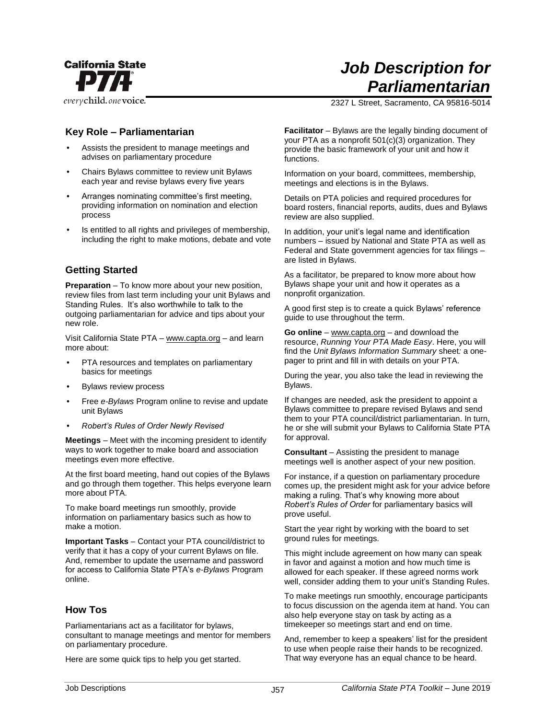

everychild.onevoice.

# *Job Description for Parliamentarian*

2327 L Street, Sacramento, CA 95816-5014

## **Key Role – Parliamentarian**

- Assists the president to manage meetings and advises on parliamentary procedure
- Chairs Bylaws committee to review unit Bylaws each year and revise bylaws every five years
- Arranges nominating committee's first meeting, providing information on nomination and election process
- Is entitled to all rights and privileges of membership, including the right to make motions, debate and vote

# **Getting Started**

**Preparation** – To know more about your new position, review files from last term including your unit Bylaws and Standing Rules. It's also worthwhile to talk to the outgoing parliamentarian for advice and tips about your new role.

Visit California State PTA – www.capta.org – and learn more about:

- PTA resources and templates on parliamentary basics for meetings
- Bylaws review process
- Free *e-Bylaws* Program online to revise and update unit Bylaws
- *Robert's Rules of Order Newly Revised*

**Meetings** – Meet with the incoming president to identify ways to work together to make board and association meetings even more effective.

At the first board meeting, hand out copies of the Bylaws and go through them together. This helps everyone learn more about PTA.

To make board meetings run smoothly, provide information on parliamentary basics such as how to make a motion.

**Important Tasks** – Contact your PTA council/district to verify that it has a copy of your current Bylaws on file. And, remember to update the username and password for access to California State PTA's *e-Bylaws* Program online.

### **How Tos**

Parliamentarians act as a facilitator for bylaws, consultant to manage meetings and mentor for members on parliamentary procedure.

Here are some quick tips to help you get started.

**Facilitator** – Bylaws are the legally binding document of your PTA as a nonprofit 501(c)(3) organization. They provide the basic framework of your unit and how it functions.

Information on your board, committees, membership, meetings and elections is in the Bylaws.

Details on PTA policies and required procedures for board rosters, financial reports, audits, dues and Bylaws review are also supplied.

In addition, your unit's legal name and identification numbers – issued by National and State PTA as well as Federal and State government agencies for tax filings – are listed in Bylaws.

As a facilitator, be prepared to know more about how Bylaws shape your unit and how it operates as a nonprofit organization.

A good first step is to create a quick Bylaws' reference guide to use throughout the term.

**Go online** – www.capta.org – and download the resource, *Running Your PTA Made Easy*. Here, you will find the *Unit Bylaws Information Summary* sheet*:* a onepager to print and fill in with details on your PTA.

During the year, you also take the lead in reviewing the Bylaws.

If changes are needed, ask the president to appoint a Bylaws committee to prepare revised Bylaws and send them to your PTA council/district parliamentarian. In turn, he or she will submit your Bylaws to California State PTA for approval.

**Consultant** – Assisting the president to manage meetings well is another aspect of your new position.

For instance, if a question on parliamentary procedure comes up, the president might ask for your advice before making a ruling. That's why knowing more about *Robert's Rules of Order* for parliamentary basics will prove useful.

Start the year right by working with the board to set ground rules for meetings.

This might include agreement on how many can speak in favor and against a motion and how much time is allowed for each speaker. If these agreed norms work well, consider adding them to your unit's Standing Rules.

To make meetings run smoothly, encourage participants to focus discussion on the agenda item at hand. You can also help everyone stay on task by acting as a timekeeper so meetings start and end on time.

And, remember to keep a speakers' list for the president to use when people raise their hands to be recognized. That way everyone has an equal chance to be heard.